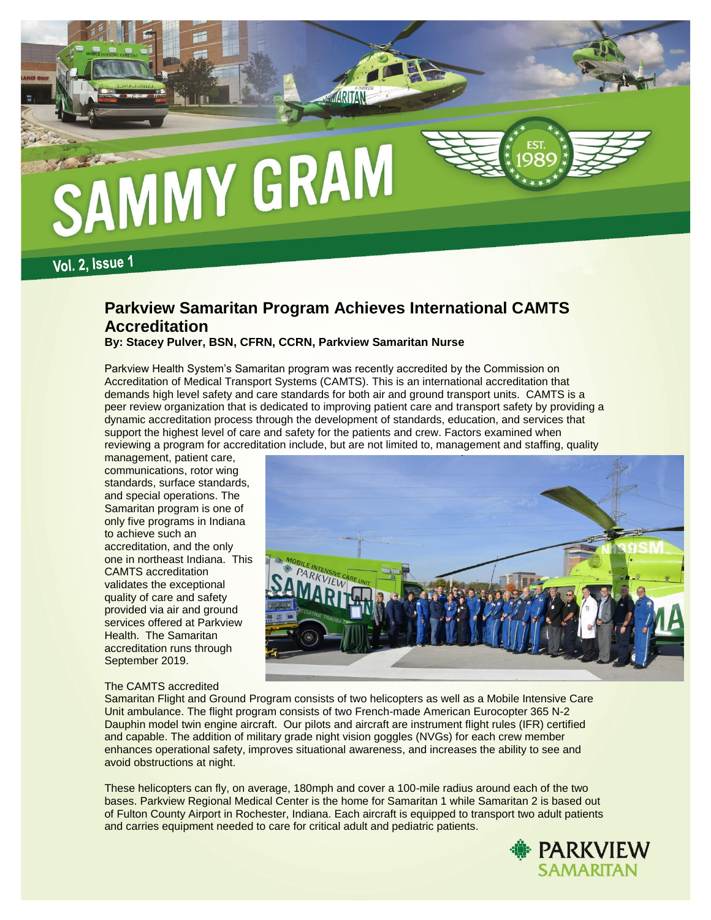

**Vol. 2, Issue 1** 

# **Parkview Samaritan Program Achieves International CAMTS Accreditation**

**By: Stacey Pulver, BSN, CFRN, CCRN, Parkview Samaritan Nurse** 

Parkview Health System's Samaritan program was recently accredited by the Commission on Accreditation of Medical Transport Systems (CAMTS). This is an international accreditation that demands high level safety and care standards for both air and ground transport units. CAMTS is a peer review organization that is dedicated to improving patient care and transport safety by providing a dynamic accreditation process through the development of standards, education, and services that support the highest level of care and safety for the patients and crew. Factors examined when reviewing a program for accreditation include, but are not limited to, management and staffing, quality

management, patient care, communications, rotor wing standards, surface standards, and special operations. The Samaritan program is one of only five programs in Indiana to achieve such an accreditation, and the only one in northeast Indiana. This CAMTS accreditation validates the exceptional quality of care and safety provided via air and ground services offered at Parkview Health. The Samaritan accreditation runs through September 2019.

# The CAMTS accredited

Samaritan Flight and Ground Program consists of two helicopters as well as a Mobile Intensive Care Unit ambulance. The flight program consists of two French-made American Eurocopter 365 N-2 Dauphin model twin engine aircraft. Our pilots and aircraft are instrument flight rules (IFR) certified and capable. The addition of military grade night vision goggles (NVGs) for each crew member enhances operational safety, improves situational awareness, and increases the ability to see and avoid obstructions at night.

These helicopters can fly, on average, 180mph and cover a 100-mile radius around each of the two bases. Parkview Regional Medical Center is the home for Samaritan 1 while Samaritan 2 is based out of Fulton County Airport in Rochester, Indiana. Each aircraft is equipped to transport two adult patients and carries equipment needed to care for critical adult and pediatric patients.